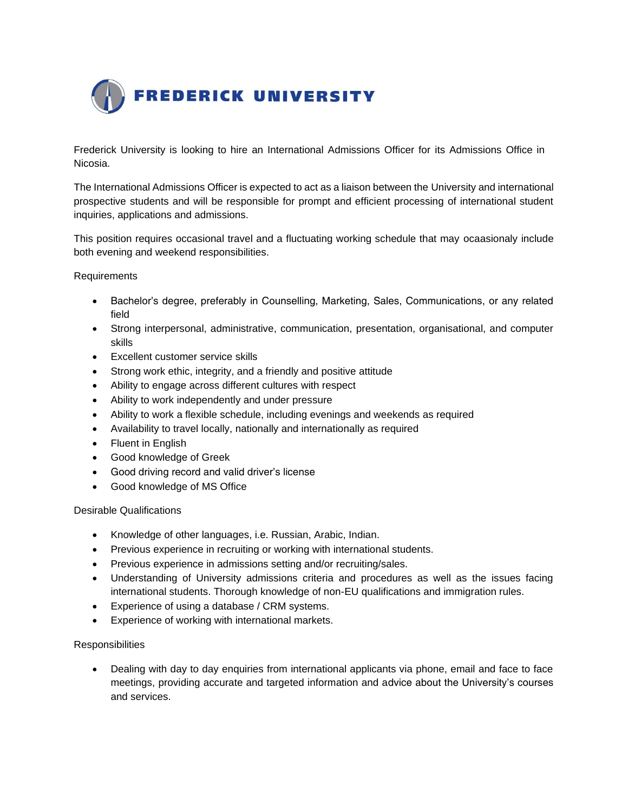

Frederick University is looking to hire an International Admissions Officer for its Admissions Office in Nicosia.

The International Admissions Officer is expected to act as a liaison between the University and international prospective students and will be responsible for prompt and efficient processing of international student inquiries, applications and admissions.

This position requires occasional travel and a fluctuating working schedule that may ocaasionaly include both evening and weekend responsibilities.

**Requirements** 

- Bachelor's degree, preferably in Counselling, Marketing, Sales, Communications, or any related field
- Strong interpersonal, administrative, communication, presentation, organisational, and computer skills
- Excellent customer service skills
- Strong work ethic, integrity, and a friendly and positive attitude
- Ability to engage across different cultures with respect
- Ability to work independently and under pressure
- Ability to work a flexible schedule, including evenings and weekends as required
- Availability to travel locally, nationally and internationally as required
- Fluent in English
- Good knowledge of Greek
- Good driving record and valid driver's license
- Good knowledge of MS Office

## Desirable Qualifications

- Knowledge of other languages, i.e. Russian, Arabic, Indian.
- Previous experience in recruiting or working with international students.
- Previous experience in admissions setting and/or recruiting/sales.
- Understanding of University admissions criteria and procedures as well as the issues facing international students. Thorough knowledge of non-EU qualifications and immigration rules.
- Experience of using a database / CRM systems.
- Experience of working with international markets.

## **Responsibilities**

• Dealing with day to day enquiries from international applicants via phone, email and face to face meetings, providing accurate and targeted information and advice about the University's courses and services.